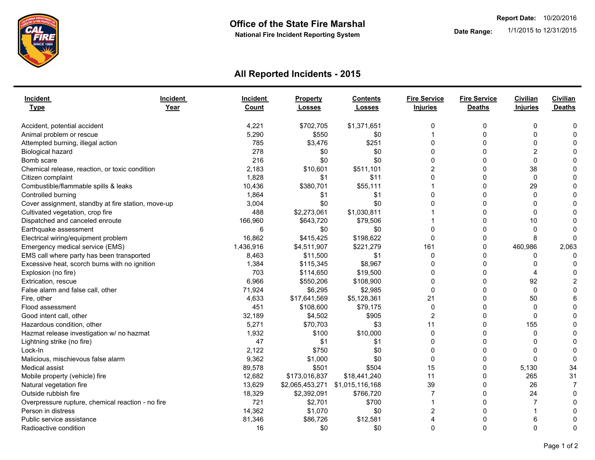

## **All Reported Incidents - 2015**

| Incident<br><b>Type</b>                            | Incident<br>Year | Incident<br><b>Count</b> | <b>Property</b><br><b>Losses</b> | <b>Contents</b><br><b>Losses</b> | <b>Fire Service</b><br><b>Injuries</b> | <b>Fire Service</b><br><b>Deaths</b> | Civilian<br>Injuries | Civilian<br><b>Deaths</b> |
|----------------------------------------------------|------------------|--------------------------|----------------------------------|----------------------------------|----------------------------------------|--------------------------------------|----------------------|---------------------------|
| Accident, potential accident                       |                  | 4,221                    | \$702,705                        | \$1,371,651                      | 0                                      | 0                                    | 0                    | 0                         |
| Animal problem or rescue                           |                  | 5,290                    | \$550                            | \$0                              |                                        | $\mathbf 0$                          | $\mathbf 0$          | $\mathbf 0$               |
| Attempted burning, illegal action                  |                  | 785                      | \$3,476                          | \$251                            | $\Omega$                               | $\Omega$                             | $\Omega$             | $\Omega$                  |
| Biological hazard                                  |                  | 278                      | \$0                              | \$0                              | $\Omega$                               | $\Omega$                             | 2                    | $\Omega$                  |
| Bomb scare                                         |                  | 216                      | \$0                              | \$0                              | 0                                      | $\Omega$                             | $\Omega$             | $\mathbf{0}$              |
| Chemical release, reaction, or toxic condition     |                  | 2,183                    | \$10,601                         | \$511,101                        | $\overline{2}$                         | $\mathbf 0$                          | 38                   | 0                         |
| Citizen complaint                                  |                  | 1,828                    | \$1                              | \$11                             | $\Omega$                               | 0                                    | $\Omega$             | $\Omega$                  |
| Combustible/flammable spills & leaks               |                  | 10,436                   | \$380,701                        | \$55,111                         |                                        | $\mathbf{0}$                         | 29                   | $\mathbf{0}$              |
| Controlled burning                                 |                  | 1,864                    | \$1                              | \$1                              | $\Omega$                               | $\Omega$                             | 0                    | 0                         |
| Cover assignment, standby at fire station, move-up |                  | 3,004                    | \$0                              | \$0                              | $\Omega$                               | $\Omega$                             | $\Omega$             | $\Omega$                  |
| Cultivated vegetation, crop fire                   |                  | 488                      | \$2,273,061                      | \$1,030,811                      |                                        | $\Omega$                             | $\mathbf{0}$         | $\mathbf{0}$              |
| Dispatched and canceled enroute                    |                  | 166,960                  | \$643,720                        | \$79,506                         |                                        | $\Omega$                             | 10                   | $\Omega$                  |
| Earthquake assessment                              |                  | 6                        | \$0                              | \$0                              | $\Omega$                               | 0                                    | 0                    | $\Omega$                  |
| Electrical wiring/equipment problem                |                  | 16,862                   | \$415,425                        | \$198,622                        | 0                                      | 0                                    | 8                    | $\Omega$                  |
| Emergency medical service (EMS)                    |                  | 1,436,916                | \$4,511,907                      | \$221,279                        | 161                                    | 0                                    | 460,986              | 2,063                     |
| EMS call where party has been transported          |                  | 8,463                    | \$11,500                         | \$1                              | $\mathbf 0$                            | $\mathbf 0$                          | 0                    | $\Omega$                  |
| Excessive heat, scorch burns with no ignition      |                  | 1,384                    | \$115,345                        | \$8,967                          | $\Omega$                               | $\mathbf{0}$                         | 0                    | $\Omega$                  |
| Explosion (no fire)                                |                  | 703                      | \$114,650                        | \$19,500                         | $\Omega$                               | $\mathbf 0$                          | 4                    | 0                         |
| Extrication, rescue                                |                  | 6,966                    | \$550,206                        | \$108,900                        | $\Omega$                               | $\Omega$                             | 92                   | $\overline{2}$            |
| False alarm and false call, other                  |                  | 71,924                   | \$6,295                          | \$2,985                          | $\Omega$                               | $\Omega$                             | $\Omega$             | $\Omega$                  |
| Fire, other                                        |                  | 4,633                    | \$17,641,569                     | \$5,128,361                      | 21                                     | 0                                    | 50                   | 6                         |
| Flood assessment                                   |                  | 451                      | \$108,600                        | \$79,175                         | 0                                      | $\mathbf 0$                          | $\Omega$             | $\Omega$                  |
| Good intent call, other                            |                  | 32,189                   | \$4,502                          | \$905                            | $\overline{2}$                         | $\mathbf 0$                          | $\mathbf 0$          | $\mathbf{0}$              |
| Hazardous condition, other                         |                  | 5,271                    | \$70,703                         | \$3                              | 11                                     | $\Omega$                             | 155                  | $\mathbf{0}$              |
| Hazmat release investigation w/ no hazmat          |                  | 1,932                    | \$100                            | \$10,000                         | $\Omega$                               | $\mathbf{0}$                         | 0                    | $\mathbf{0}$              |
| Lightning strike (no fire)                         |                  | 47                       | \$1                              | \$1                              | $\Omega$                               | $\mathbf{0}$                         | $\Omega$             | $\mathbf{0}$              |
| Lock-In                                            |                  | 2.122                    | \$750                            | \$0                              | $\Omega$                               | $\Omega$                             | $\Omega$             | $\mathbf{0}$              |
| Malicious, mischievous false alarm                 |                  | 9,362                    | \$1,000                          | \$0                              | $\Omega$                               | $\Omega$                             | $\Omega$             | $\Omega$                  |
| <b>Medical assist</b>                              |                  | 89,578                   | \$501                            | \$504                            | 15                                     | $\mathbf{0}$                         | 5,130                | 34                        |
| Mobile property (vehicle) fire                     |                  | 12,682                   | \$173,016,837                    | \$18,441,240                     | 11                                     | $\mathbf 0$                          | 265                  | 31                        |
| Natural vegetation fire                            |                  | 13,629                   | \$2,065,453,271                  | \$1,015,116,168                  | 39                                     | $\mathbf 0$                          | 26                   | $\overline{7}$            |
| Outside rubbish fire                               |                  | 18,329                   | \$2,392,091                      | \$766,720                        | $\overline{7}$                         | 0                                    | 24                   | 0                         |
| Overpressure rupture, chemical reaction - no fire  |                  | 721                      | \$2,701                          | \$700                            |                                        | $\Omega$                             | $\overline{7}$       | $\Omega$                  |
| Person in distress                                 |                  | 14,362                   | \$1,070                          | \$0                              | $\overline{2}$                         | $\mathbf{0}$                         |                      | 0                         |
| Public service assistance                          |                  | 81,346                   | \$86,726                         | \$12,581                         | 4                                      | $\mathbf 0$                          | 6                    | 0                         |
| Radioactive condition                              |                  | 16                       | \$0                              | \$0                              | $\Omega$                               | $\Omega$                             | $\mathbf 0$          | $\mathbf{0}$              |